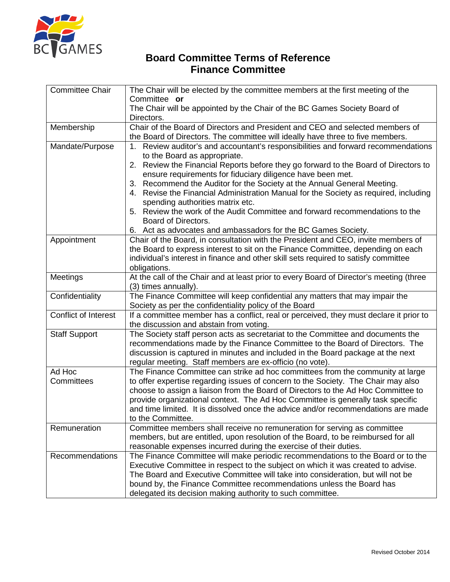

### **Board Committee Terms of Reference Finance Committee**

| <b>Committee Chair</b>      | The Chair will be elected by the committee members at the first meeting of the<br>Committee or                                                                                                                                                                                                                                                                                                                                                        |
|-----------------------------|-------------------------------------------------------------------------------------------------------------------------------------------------------------------------------------------------------------------------------------------------------------------------------------------------------------------------------------------------------------------------------------------------------------------------------------------------------|
|                             | The Chair will be appointed by the Chair of the BC Games Society Board of<br>Directors.                                                                                                                                                                                                                                                                                                                                                               |
| Membership                  | Chair of the Board of Directors and President and CEO and selected members of<br>the Board of Directors. The committee will ideally have three to five members.                                                                                                                                                                                                                                                                                       |
| Mandate/Purpose             | 1. Review auditor's and accountant's responsibilities and forward recommendations<br>to the Board as appropriate.<br>2. Review the Financial Reports before they go forward to the Board of Directors to                                                                                                                                                                                                                                              |
|                             | ensure requirements for fiduciary diligence have been met.<br>3. Recommend the Auditor for the Society at the Annual General Meeting.<br>4. Revise the Financial Administration Manual for the Society as required, including                                                                                                                                                                                                                         |
|                             | spending authorities matrix etc.<br>5. Review the work of the Audit Committee and forward recommendations to the<br>Board of Directors.                                                                                                                                                                                                                                                                                                               |
|                             | Act as advocates and ambassadors for the BC Games Society.<br>6.                                                                                                                                                                                                                                                                                                                                                                                      |
| Appointment                 | Chair of the Board, in consultation with the President and CEO, invite members of<br>the Board to express interest to sit on the Finance Committee, depending on each<br>individual's interest in finance and other skill sets required to satisfy committee<br>obligations.                                                                                                                                                                          |
| Meetings                    | At the call of the Chair and at least prior to every Board of Director's meeting (three<br>(3) times annually).                                                                                                                                                                                                                                                                                                                                       |
| Confidentiality             | The Finance Committee will keep confidential any matters that may impair the<br>Society as per the confidentiality policy of the Board                                                                                                                                                                                                                                                                                                                |
| <b>Conflict of Interest</b> | If a committee member has a conflict, real or perceived, they must declare it prior to<br>the discussion and abstain from voting.                                                                                                                                                                                                                                                                                                                     |
| <b>Staff Support</b>        | The Society staff person acts as secretariat to the Committee and documents the<br>recommendations made by the Finance Committee to the Board of Directors. The<br>discussion is captured in minutes and included in the Board package at the next<br>regular meeting. Staff members are ex-officio (no vote).                                                                                                                                        |
| Ad Hoc<br>Committees        | The Finance Committee can strike ad hoc committees from the community at large<br>to offer expertise regarding issues of concern to the Society. The Chair may also<br>choose to assign a liaison from the Board of Directors to the Ad Hoc Committee to<br>provide organizational context. The Ad Hoc Committee is generally task specific<br>and time limited. It is dissolved once the advice and/or recommendations are made<br>to the Committee. |
| Remuneration                | Committee members shall receive no remuneration for serving as committee<br>members, but are entitled, upon resolution of the Board, to be reimbursed for all<br>reasonable expenses incurred during the exercise of their duties.                                                                                                                                                                                                                    |
| Recommendations             | The Finance Committee will make periodic recommendations to the Board or to the<br>Executive Committee in respect to the subject on which it was created to advise.<br>The Board and Executive Committee will take into consideration, but will not be<br>bound by, the Finance Committee recommendations unless the Board has<br>delegated its decision making authority to such committee.                                                          |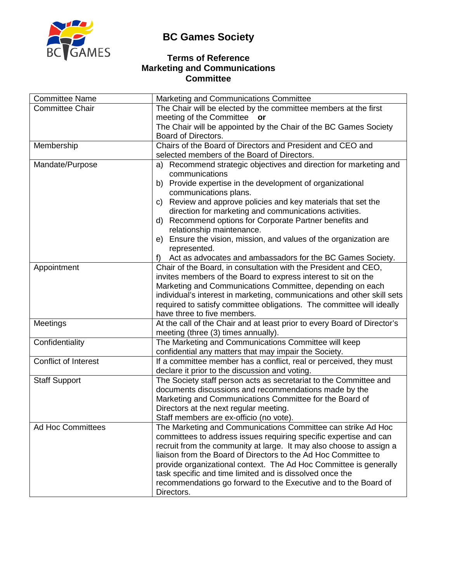# **BC Games Society**



#### **Terms of Reference Marketing and Communications Committee**

| <b>Committee Name</b>       | Marketing and Communications Committee                                                 |
|-----------------------------|----------------------------------------------------------------------------------------|
| <b>Committee Chair</b>      | The Chair will be elected by the committee members at the first                        |
|                             | meeting of the Committee or                                                            |
|                             | The Chair will be appointed by the Chair of the BC Games Society                       |
|                             | Board of Directors.                                                                    |
| Membership                  | Chairs of the Board of Directors and President and CEO and                             |
|                             | selected members of the Board of Directors.                                            |
| Mandate/Purpose             | Recommend strategic objectives and direction for marketing and<br>a)<br>communications |
|                             | b) Provide expertise in the development of organizational<br>communications plans.     |
|                             | c) Review and approve policies and key materials that set the                          |
|                             | direction for marketing and communications activities.                                 |
|                             | d) Recommend options for Corporate Partner benefits and                                |
|                             | relationship maintenance.                                                              |
|                             | e) Ensure the vision, mission, and values of the organization are                      |
|                             | represented.                                                                           |
|                             | Act as advocates and ambassadors for the BC Games Society.<br>f)                       |
| Appointment                 | Chair of the Board, in consultation with the President and CEO,                        |
|                             | invites members of the Board to express interest to sit on the                         |
|                             | Marketing and Communications Committee, depending on each                              |
|                             | individual's interest in marketing, communications and other skill sets                |
|                             | required to satisfy committee obligations. The committee will ideally                  |
|                             | have three to five members.                                                            |
| Meetings                    | At the call of the Chair and at least prior to every Board of Director's               |
|                             | meeting (three (3) times annually).                                                    |
| Confidentiality             | The Marketing and Communications Committee will keep                                   |
|                             | confidential any matters that may impair the Society.                                  |
| <b>Conflict of Interest</b> | If a committee member has a conflict, real or perceived, they must                     |
|                             | declare it prior to the discussion and voting.                                         |
| <b>Staff Support</b>        | The Society staff person acts as secretariat to the Committee and                      |
|                             | documents discussions and recommendations made by the                                  |
|                             | Marketing and Communications Committee for the Board of                                |
|                             | Directors at the next regular meeting.                                                 |
|                             | Staff members are ex-officio (no vote).                                                |
| <b>Ad Hoc Committees</b>    | The Marketing and Communications Committee can strike Ad Hoc                           |
|                             | committees to address issues requiring specific expertise and can                      |
|                             | recruit from the community at large. It may also choose to assign a                    |
|                             | liaison from the Board of Directors to the Ad Hoc Committee to                         |
|                             | provide organizational context. The Ad Hoc Committee is generally                      |
|                             | task specific and time limited and is dissolved once the                               |
|                             | recommendations go forward to the Executive and to the Board of                        |
|                             | Directors.                                                                             |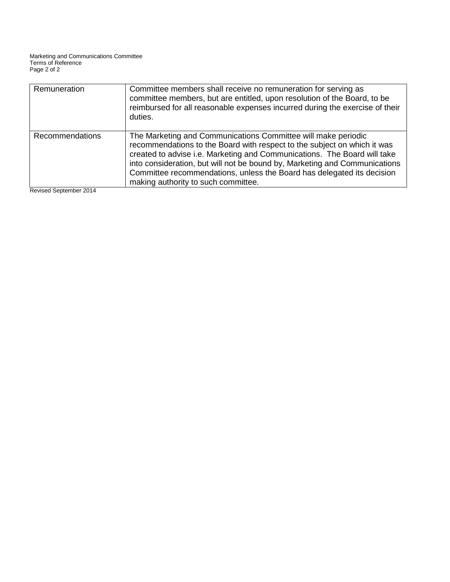| Remuneration    | Committee members shall receive no remuneration for serving as<br>committee members, but are entitled, upon resolution of the Board, to be<br>reimbursed for all reasonable expenses incurred during the exercise of their<br>duties.                                                                                                                                                                                |
|-----------------|----------------------------------------------------------------------------------------------------------------------------------------------------------------------------------------------------------------------------------------------------------------------------------------------------------------------------------------------------------------------------------------------------------------------|
| Recommendations | The Marketing and Communications Committee will make periodic<br>recommendations to the Board with respect to the subject on which it was<br>created to advise i.e. Marketing and Communications. The Board will take<br>into consideration, but will not be bound by, Marketing and Communications<br>Committee recommendations, unless the Board has delegated its decision<br>making authority to such committee. |

Revised September 2014